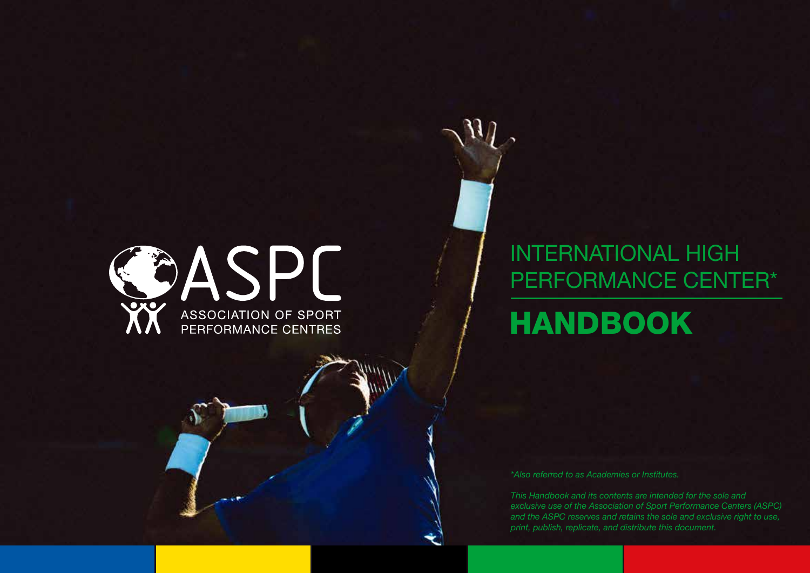

#### INTERNATIONAL HIGH PERFORMANCE CENTER\*

HANDBOOK

*\*Also referred to as Academies or Institutes.*

*This Handbook and its contents are intended for the sole and exclusive use of the Association of Sport Performance Centers (ASPC) and the ASPC reserves and retains the sole and exclusive right to use, print, publish, replicate, and distribute this document.*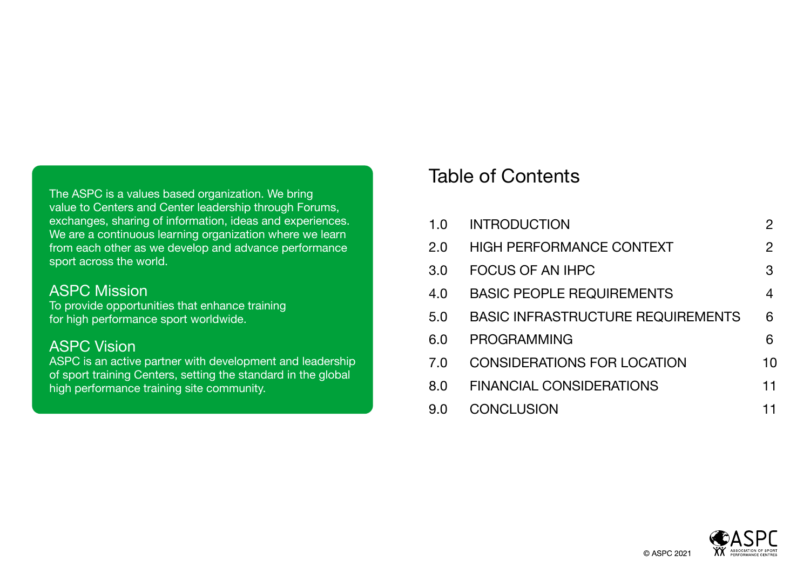The ASPC is a values based organization. We bring value to Centers and Center leadership through Forums, exchanges, sharing of information, ideas and experiences. We are a continuous learning organization where we learn from each other as we develop and advance performance sport across the world.

#### ASPC Mission

To provide opportunities that enhance training for high performance sport worldwide.

#### ASPC Vision

ASPC is an active partner with development and leadership of sport training Centers, setting the standard in the global high performance training site community.

#### Table of Contents

| 1.0 | <b>INTRODUCTION</b>                      | $\overline{2}$ |
|-----|------------------------------------------|----------------|
| 2.0 | <b>HIGH PERFORMANCE CONTEXT</b>          | 2              |
| 3.0 | FOCUS OF AN IHPC                         | 3              |
| 4.0 | <b>BASIC PEOPLE REQUIREMENTS</b>         | 4              |
| 5.0 | <b>BASIC INFRASTRUCTURE REQUIREMENTS</b> | 6              |
| 6.0 | <b>PROGRAMMING</b>                       | 6              |
| 7.0 | <b>CONSIDERATIONS FOR LOCATION</b>       | 10             |
| 8.0 | <b>FINANCIAL CONSIDERATIONS</b>          | 11             |
| 9.0 | <b>CONCLUSION</b>                        | 11             |



© ASPC 2021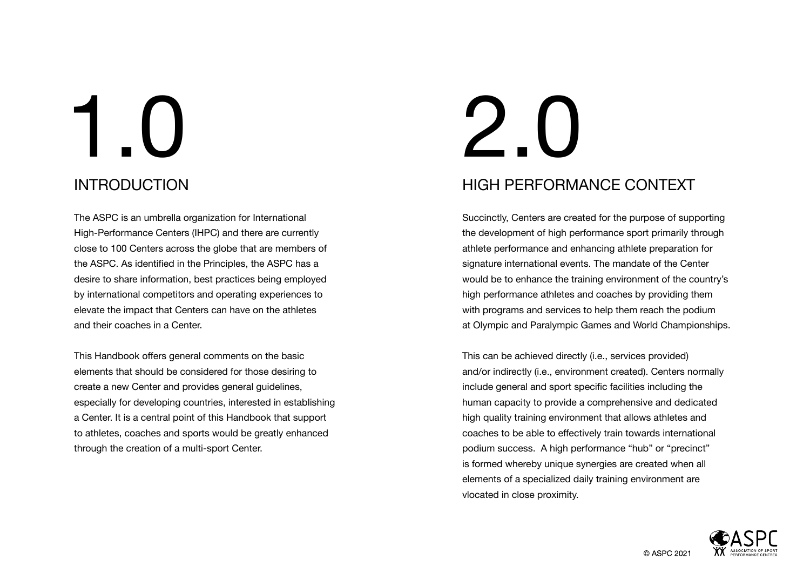### INTRODUCTION 1.0 2.0

The ASPC is an umbrella organization for International High-Performance Centers (IHPC) and there are currently close to 100 Centers across the globe that are members of the ASPC. As identified in the Principles, the ASPC has a desire to share information, best practices being employed by international competitors and operating experiences to elevate the impact that Centers can have on the athletes and their coaches in a Center.

This Handbook offers general comments on the basic elements that should be considered for those desiring to create a new Center and provides general guidelines, especially for developing countries, interested in establishing a Center. It is a central point of this Handbook that support to athletes, coaches and sports would be greatly enhanced through the creation of a multi-sport Center.

# HIGH PERFORMANCE CONTEXT

Succinctly, Centers are created for the purpose of supporting the development of high performance sport primarily through athlete performance and enhancing athlete preparation for signature international events. The mandate of the Center would be to enhance the training environment of the country's high performance athletes and coaches by providing them with programs and services to help them reach the podium at Olympic and Paralympic Games and World Championships.

This can be achieved directly (i.e., services provided) and/or indirectly (i.e., environment created). Centers normally include general and sport specific facilities including the human capacity to provide a comprehensive and dedicated high quality training environment that allows athletes and coaches to be able to effectively train towards international podium success. A high performance "hub" or "precinct" is formed whereby unique synergies are created when all elements of a specialized daily training environment are vlocated in close proximity.

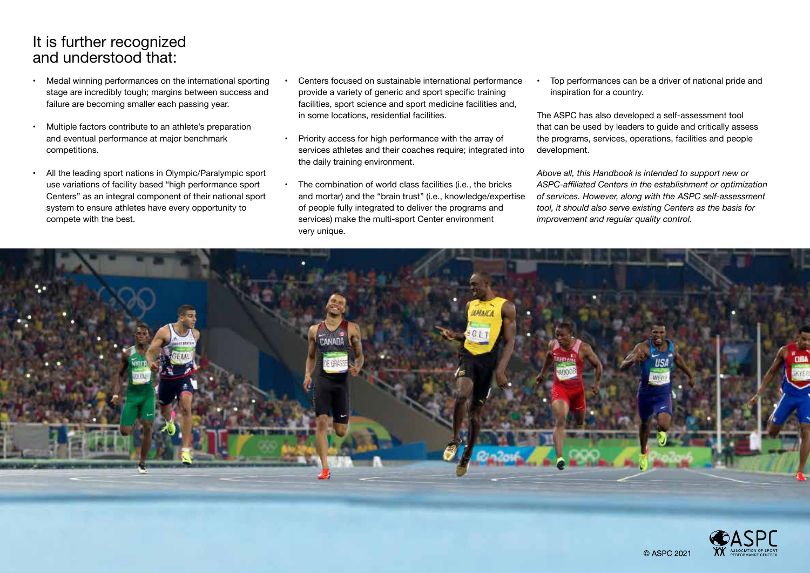#### It is further recognized and understood that:

- Medal winning performances on the international sporting stage are incredibly tough; margins between success and failure are becoming smaller each passing year.
- Multiple factors contribute to an athlete's preparation and eventual performance at major benchmark competitions.
- All the leading sport nations in Olympic/Paralympic sport use variations of facility based "high performance sport Centers" as an integral component of their national sport system to ensure athletes have every opportunity to compete with the best.
- Centers focused on sustainable international performance provide a variety of generic and sport specific training facilities, sport science and sport medicine facilities and, in some locations, residential facilities.
- Priority access for high performance with the array of services athletes and their coaches require; integrated into the daily training environment.
- The combination of world class facilities (i.e., the bricks and mortar) and the "brain trust" (i.e., knowledge/expertise of people fully integrated to deliver the programs and services) make the multi-sport Center environment very unique.

• Top performances can be a driver of national pride and inspiration for a country.

The ASPC has also developed a self-assessment tool that can be used by leaders to guide and critically assess the programs, services, operations, facilities and people development.

*Above all, this Handbook is intended to support new or ASPC-affiliated Centers in the establishment or optimization of services. However, along with the ASPC self-assessment tool, it should also serve existing Centers as the basis for improvement and regular quality control.*

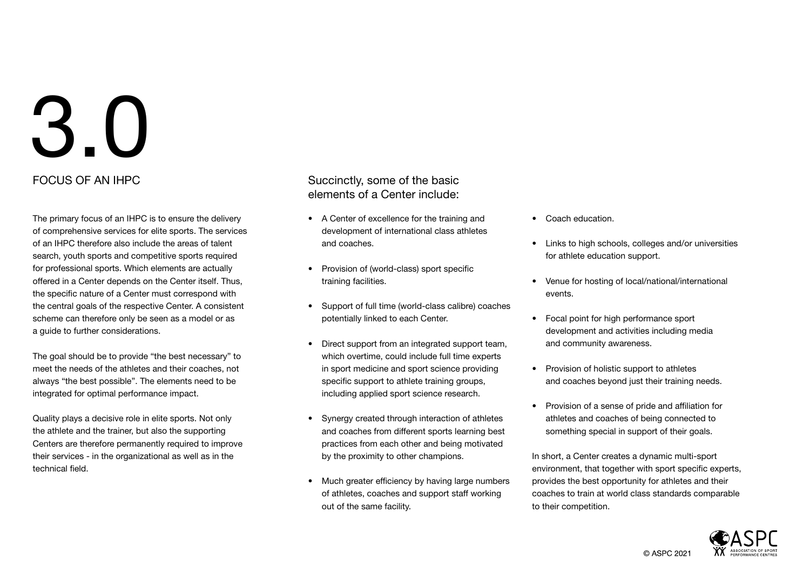The primary focus of an IHPC is to ensure the delivery of comprehensive services for elite sports. The services of an IHPC therefore also include the areas of talent search, youth sports and competitive sports required for professional sports. Which elements are actually offered in a Center depends on the Center itself. Thus, the specific nature of a Center must correspond with the central goals of the respective Center. A consistent scheme can therefore only be seen as a model or as a guide to further considerations.

The goal should be to provide "the best necessary" to meet the needs of the athletes and their coaches, not always "the best possible". The elements need to be integrated for optimal performance impact.

Quality plays a decisive role in elite sports. Not only the athlete and the trainer, but also the supporting Centers are therefore permanently required to improve their services - in the organizational as well as in the technical field.

FOCUS OF AN IHPC **Succinctly**, some of the basic elements of a Center include:

- A Center of excellence for the training and development of international class athletes and coaches.
- Provision of (world-class) sport specific training facilities.
- Support of full time (world-class calibre) coaches potentially linked to each Center.
- Direct support from an integrated support team, which overtime, could include full time experts in sport medicine and sport science providing specific support to athlete training groups, including applied sport science research.
- Synergy created through interaction of athletes and coaches from different sports learning best practices from each other and being motivated by the proximity to other champions.
- Much greater efficiency by having large numbers of athletes, coaches and support staff working out of the same facility.
- Coach education.
- Links to high schools, colleges and/or universities for athlete education support.
- Venue for hosting of local/national/international events.
- Focal point for high performance sport development and activities including media and community awareness.
- Provision of holistic support to athletes and coaches beyond just their training needs.
- Provision of a sense of pride and affiliation for athletes and coaches of being connected to something special in support of their goals.

In short, a Center creates a dynamic multi-sport environment, that together with sport specific experts, provides the best opportunity for athletes and their coaches to train at world class standards comparable to their competition.

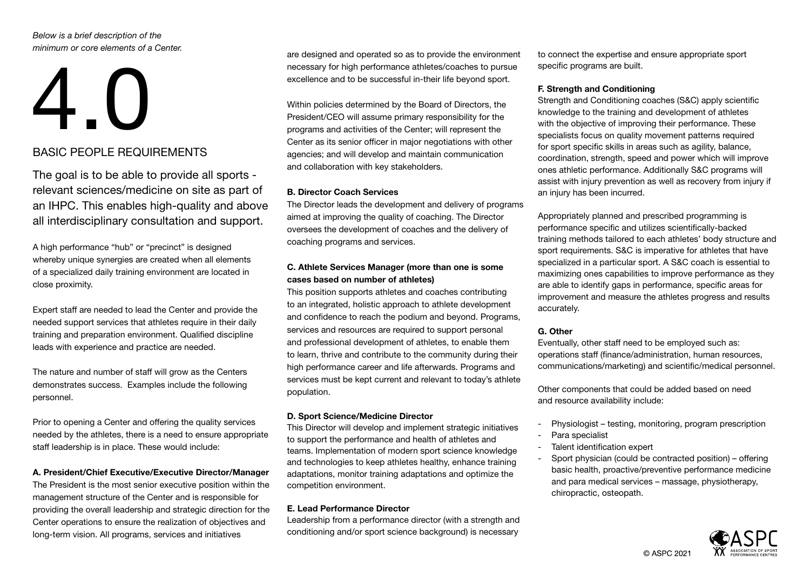*Below is a brief description of the minimum or core elements of a Center.*

# 4.0 BASIC PEOPLE REQUIREMENTS

The goal is to be able to provide all sports relevant sciences/medicine on site as part of an IHPC. This enables high-quality and above all interdisciplinary consultation and support.

A high performance "hub" or "precinct" is designed whereby unique synergies are created when all elements of a specialized daily training environment are located in close proximity.

Expert staff are needed to lead the Center and provide the needed support services that athletes require in their daily training and preparation environment. Qualified discipline leads with experience and practice are needed.

The nature and number of staff will grow as the Centers demonstrates success. Examples include the following personnel.

Prior to opening a Center and offering the quality services needed by the athletes, there is a need to ensure appropriate staff leadership is in place. These would include:

#### A. President/Chief Executive/Executive Director/Manager

The President is the most senior executive position within the management structure of the Center and is responsible for providing the overall leadership and strategic direction for the Center operations to ensure the realization of objectives and long-term vision. All programs, services and initiatives

are designed and operated so as to provide the environment necessary for high performance athletes/coaches to pursue excellence and to be successful in-their life beyond sport.

Within policies determined by the Board of Directors, the President/CEO will assume primary responsibility for the programs and activities of the Center; will represent the Center as its senior officer in major negotiations with other agencies; and will develop and maintain communication and collaboration with key stakeholders.

#### B. Director Coach Services

The Director leads the development and delivery of programs aimed at improving the quality of coaching. The Director oversees the development of coaches and the delivery of coaching programs and services.

#### C. Athlete Services Manager (more than one is some cases based on number of athletes)

This position supports athletes and coaches contributing to an integrated, holistic approach to athlete development and confidence to reach the podium and beyond. Programs, services and resources are required to support personal and professional development of athletes, to enable them to learn, thrive and contribute to the community during their high performance career and life afterwards. Programs and services must be kept current and relevant to today's athlete population.

#### D. Sport Science/Medicine Director

This Director will develop and implement strategic initiatives to support the performance and health of athletes and teams. Implementation of modern sport science knowledge and technologies to keep athletes healthy, enhance training adaptations, monitor training adaptations and optimize the competition environment.

#### E. Lead Performance Director

Leadership from a performance director (with a strength and conditioning and/or sport science background) is necessary

to connect the expertise and ensure appropriate sport specific programs are built.

#### F. Strength and Conditioning

Strength and Conditioning coaches (S&C) apply scientific knowledge to the training and development of athletes with the objective of improving their performance. These specialists focus on quality movement patterns required for sport specific skills in areas such as agility, balance, coordination, strength, speed and power which will improve ones athletic performance. Additionally S&C programs will assist with injury prevention as well as recovery from injury if an injury has been incurred.

Appropriately planned and prescribed programming is performance specific and utilizes scientifically-backed training methods tailored to each athletes' body structure and sport requirements. S&C is imperative for athletes that have specialized in a particular sport. A S&C coach is essential to maximizing ones capabilities to improve performance as they are able to identify gaps in performance, specific areas for improvement and measure the athletes progress and results accurately.

#### G. Other

Eventually, other staff need to be employed such as: operations staff (finance/administration, human resources, communications/marketing) and scientific/medical personnel.

Other components that could be added based on need and resource availability include:

- Physiologist testing, monitoring, program prescription
- Para specialist
- Talent identification expert
- Sport physician (could be contracted position) offering basic health, proactive/preventive performance medicine and para medical services – massage, physiotherapy, chiropractic, osteopath.

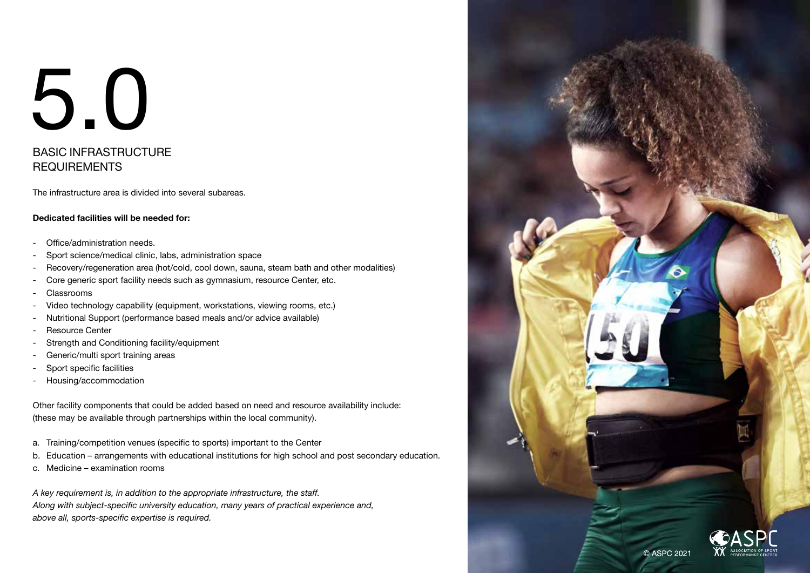#### BASIC INFRASTRUCTURE **REQUIREMENTS**

The infrastructure area is divided into several subareas.

#### Dedicated facilities will be needed for:

- Office/administration needs.
- Sport science/medical clinic, labs, administration space
- Recovery/regeneration area (hot/cold, cool down, sauna, steam bath and other modalities)
- Core generic sport facility needs such as gymnasium, resource Center, etc.
- Classrooms
- Video technology capability (equipment, workstations, viewing rooms, etc.)
- Nutritional Support (performance based meals and/or advice available)
- Resource Center
- Strength and Conditioning facility/equipment
- Generic/multi sport training areas
- Sport specific facilities
- Housing/accommodation

Other facility components that could be added based on need and resource availability include: (these may be available through partnerships within the local community).

- a. Training/competition venues (specific to sports) important to the Center
- b. Education arrangements with educational institutions for high school and post secondary education.
- c. Medicine examination rooms

*A key requirement is, in addition to the appropriate infrastructure, the staff. Along with subject-specific university education, many years of practical experience and, above all, sports-specific expertise is required.* 

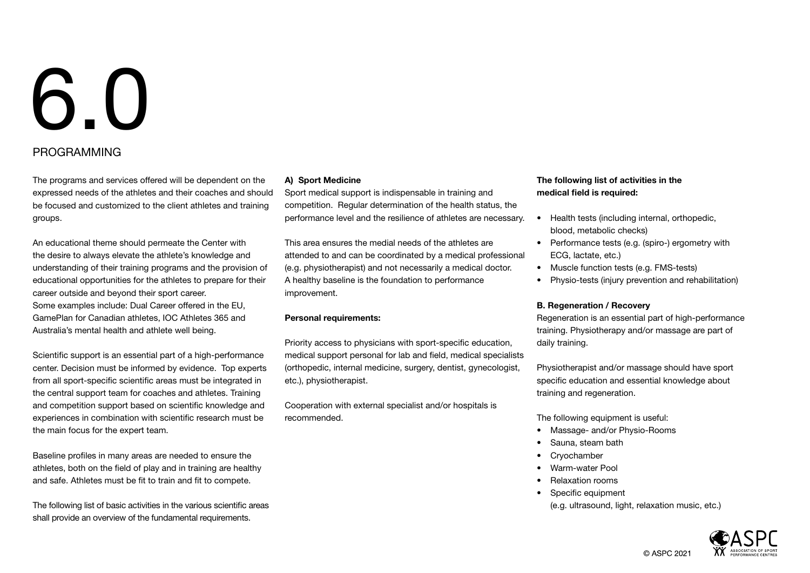#### PROGRAMMING

The programs and services offered will be dependent on the expressed needs of the athletes and their coaches and should be focused and customized to the client athletes and training groups.

An educational theme should permeate the Center with the desire to always elevate the athlete's knowledge and understanding of their training programs and the provision of educational opportunities for the athletes to prepare for their career outside and beyond their sport career. Some examples include: Dual Career offered in the EU, GamePlan for Canadian athletes, IOC Athletes 365 and Australia's mental health and athlete well being.

Scientific support is an essential part of a high-performance center. Decision must be informed by evidence. Top experts from all sport-specific scientific areas must be integrated in the central support team for coaches and athletes. Training and competition support based on scientific knowledge and experiences in combination with scientific research must be the main focus for the expert team.

Baseline profiles in many areas are needed to ensure the athletes, both on the field of play and in training are healthy and safe. Athletes must be fit to train and fit to compete.

The following list of basic activities in the various scientific areas shall provide an overview of the fundamental requirements.

#### A) Sport Medicine

Sport medical support is indispensable in training and competition. Regular determination of the health status, the performance level and the resilience of athletes are necessary.

This area ensures the medial needs of the athletes are attended to and can be coordinated by a medical professional (e.g. physiotherapist) and not necessarily a medical doctor. A healthy baseline is the foundation to performance improvement.

#### Personal requirements:

Priority access to physicians with sport-specific education, medical support personal for lab and field, medical specialists (orthopedic, internal medicine, surgery, dentist, gynecologist, etc.), physiotherapist.

Cooperation with external specialist and/or hospitals is recommended.

#### The following list of activities in the medical field is required:

- Health tests (including internal, orthopedic, blood, metabolic checks)
- Performance tests (e.g. (spiro-) ergometry with ECG, lactate, etc.)
- Muscle function tests (e.g. FMS-tests)
- Physio-tests (injury prevention and rehabilitation)

#### B. Regeneration / Recovery

Regeneration is an essential part of high-performance training. Physiotherapy and/or massage are part of daily training.

Physiotherapist and/or massage should have sport specific education and essential knowledge about training and regeneration.

The following equipment is useful:

- Massage- and/or Physio-Rooms
- Sauna, steam bath
- **Cryochamber**
- Warm-water Pool
- Relaxation rooms
- Specific equipment
	- (e.g. ultrasound, light, relaxation music, etc.)

© ASPC 2021

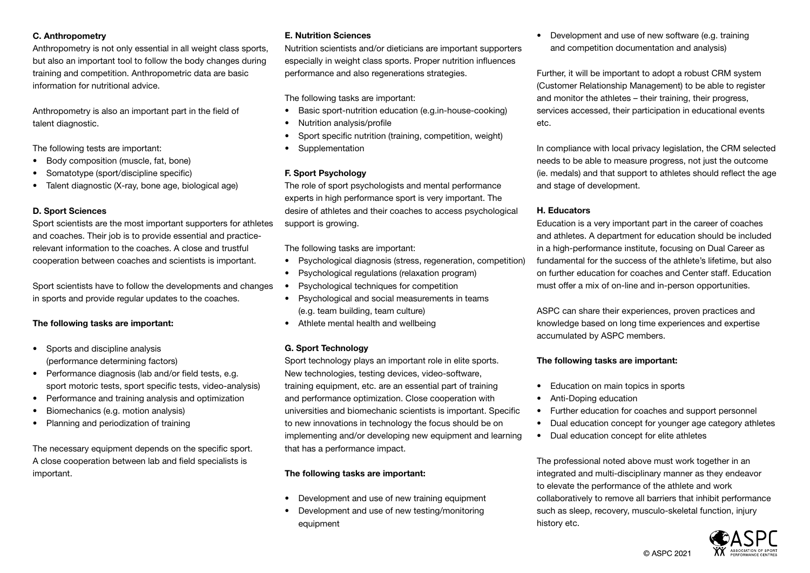#### C. Anthropometry

Anthropometry is not only essential in all weight class sports, but also an important tool to follow the body changes during training and competition. Anthropometric data are basic information for nutritional advice.

Anthropometry is also an important part in the field of talent diagnostic.

The following tests are important:

- Body composition (muscle, fat, bone)
- Somatotype (sport/discipline specific)
- Talent diagnostic (X-ray, bone age, biological age)

#### D. Sport Sciences

Sport scientists are the most important supporters for athletes and coaches. Their job is to provide essential and practicerelevant information to the coaches. A close and trustful cooperation between coaches and scientists is important.

Sport scientists have to follow the developments and changes in sports and provide regular updates to the coaches.

#### The following tasks are important:

- Sports and discipline analysis (performance determining factors)
- Performance diagnosis (lab and/or field tests, e.g. sport motoric tests, sport specific tests, video-analysis)
- Performance and training analysis and optimization
- Biomechanics (e.g. motion analysis)
- Planning and periodization of training

The necessary equipment depends on the specific sport. A close cooperation between lab and field specialists is important.

#### E. Nutrition Sciences

Nutrition scientists and/or dieticians are important supporters especially in weight class sports. Proper nutrition influences performance and also regenerations strategies.

The following tasks are important:

- Basic sport-nutrition education (e.g.in-house-cooking)
- Nutrition analysis/profile
- Sport specific nutrition (training, competition, weight)
- Supplementation

#### F. Sport Psychology

The role of sport psychologists and mental performance experts in high performance sport is very important. The desire of athletes and their coaches to access psychological support is growing.

The following tasks are important:

- Psychological diagnosis (stress, regeneration, competition)
- Psychological regulations (relaxation program)
- Psychological techniques for competition
- Psychological and social measurements in teams (e.g. team building, team culture)
- Athlete mental health and wellbeing

#### G. Sport Technology

Sport technology plays an important role in elite sports. New technologies, testing devices, video-software, training equipment, etc. are an essential part of training and performance optimization. Close cooperation with universities and biomechanic scientists is important. Specific to new innovations in technology the focus should be on implementing and/or developing new equipment and learning that has a performance impact.

#### The following tasks are important:

- Development and use of new training equipment
- Development and use of new testing/monitoring equipment

• Development and use of new software (e.g. training and competition documentation and analysis)

Further, it will be important to adopt a robust CRM system (Customer Relationship Management) to be able to register and monitor the athletes – their training, their progress, services accessed, their participation in educational events etc.

In compliance with local privacy legislation, the CRM selected needs to be able to measure progress, not just the outcome (ie. medals) and that support to athletes should reflect the age and stage of development.

#### H. Educators

Education is a very important part in the career of coaches and athletes. A department for education should be included in a high-performance institute, focusing on Dual Career as fundamental for the success of the athlete's lifetime, but also on further education for coaches and Center staff. Education must offer a mix of on-line and in-person opportunities.

ASPC can share their experiences, proven practices and knowledge based on long time experiences and expertise accumulated by ASPC members.

#### The following tasks are important:

- Education on main topics in sports
- Anti-Doping education
- Further education for coaches and support personnel
- Dual education concept for younger age category athletes
- Dual education concept for elite athletes

The professional noted above must work together in an integrated and multi-disciplinary manner as they endeavor to elevate the performance of the athlete and work collaboratively to remove all barriers that inhibit performance such as sleep, recovery, musculo-skeletal function, injury history etc.

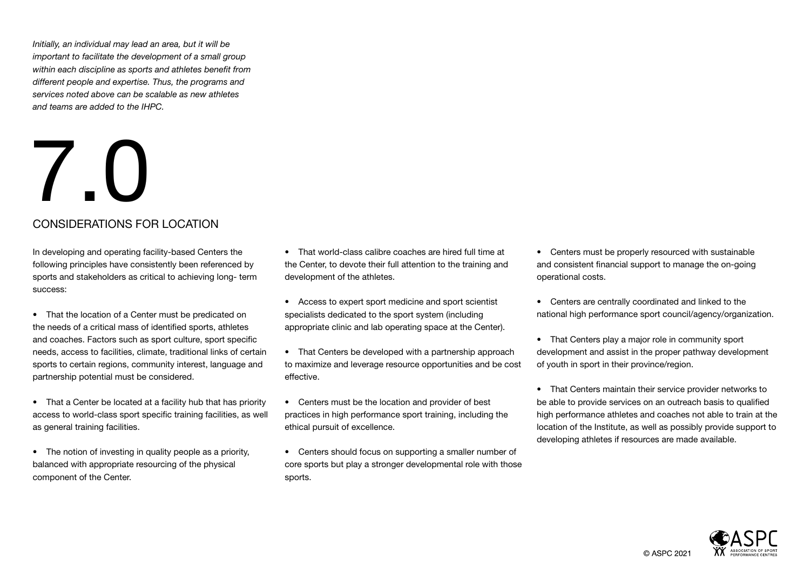*Initially, an individual may lead an area, but it will be important to facilitate the development of a small group within each discipline as sports and athletes benefit from different people and expertise. Thus, the programs and services noted above can be scalable as new athletes and teams are added to the IHPC.*

### 7.0 CONSIDERATIONS FOR LOCATION

In developing and operating facility-based Centers the following principles have consistently been referenced by sports and stakeholders as critical to achieving long- term success:

- That the location of a Center must be predicated on the needs of a critical mass of identified sports, athletes and coaches. Factors such as sport culture, sport specific needs, access to facilities, climate, traditional links of certain sports to certain regions, community interest, language and partnership potential must be considered.
- That a Center be located at a facility hub that has priority access to world-class sport specific training facilities, as well as general training facilities.
- The notion of investing in quality people as a priority, balanced with appropriate resourcing of the physical component of the Center.
- That world-class calibre coaches are hired full time at the Center, to devote their full attention to the training and development of the athletes.
- Access to expert sport medicine and sport scientist specialists dedicated to the sport system (including appropriate clinic and lab operating space at the Center).
- That Centers be developed with a partnership approach to maximize and leverage resource opportunities and be cost effective.
- Centers must be the location and provider of best practices in high performance sport training, including the ethical pursuit of excellence.
- Centers should focus on supporting a smaller number of core sports but play a stronger developmental role with those sports.
- Centers must be properly resourced with sustainable and consistent financial support to manage the on-going operational costs.
- Centers are centrally coordinated and linked to the national high performance sport council/agency/organization.
- That Centers play a major role in community sport development and assist in the proper pathway development of youth in sport in their province/region.
- That Centers maintain their service provider networks to be able to provide services on an outreach basis to qualified high performance athletes and coaches not able to train at the location of the Institute, as well as possibly provide support to developing athletes if resources are made available.

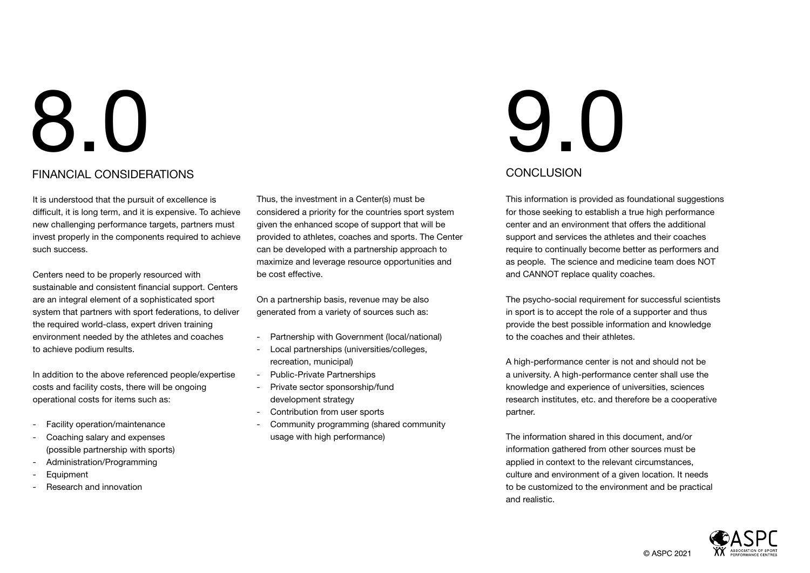#### FINANCIAL CONSIDERATIONS

It is understood that the pursuit of excellence is difficult, it is long term, and it is expensive. To achieve new challenging performance targets, partners must invest properly in the components required to achieve such success.

Centers need to be properly resourced with sustainable and consistent financial support. Centers are an integral element of a sophisticated sport system that partners with sport federations, to deliver the required world-class, expert driven training environment needed by the athletes and coaches to achieve podium results.

In addition to the above referenced people/expertise costs and facility costs, there will be ongoing operational costs for items such as:

- Facility operation/maintenance
- Coaching salary and expenses (possible partnership with sports)
- Administration/Programming
- **Equipment**
- Research and innovation

Thus, the investment in a Center(s) must be considered a priority for the countries sport system given the enhanced scope of support that will be provided to athletes, coaches and sports. The Center can be developed with a partnership approach to maximize and leverage resource opportunities and be cost effective.

On a partnership basis, revenue may be also generated from a variety of sources such as:

- Partnership with Government (local/national)
- Local partnerships (universities/colleges, recreation, municipal)
- Public-Private Partnerships
- Private sector sponsorship/fund development strategy
- Contribution from user sports
- Community programming (shared community usage with high performance)

### 9.0 CONCLUSION

This information is provided as foundational suggestions for those seeking to establish a true high performance center and an environment that offers the additional support and services the athletes and their coaches require to continually become better as performers and as people. The science and medicine team does NOT and CANNOT replace quality coaches.

The psycho-social requirement for successful scientists in sport is to accept the role of a supporter and thus provide the best possible information and knowledge to the coaches and their athletes.

A high-performance center is not and should not be a university. A high-performance center shall use the knowledge and experience of universities, sciences research institutes, etc. and therefore be a cooperative partner.

The information shared in this document, and/or information gathered from other sources must be applied in context to the relevant circumstances, culture and environment of a given location. It needs to be customized to the environment and be practical and realistic.